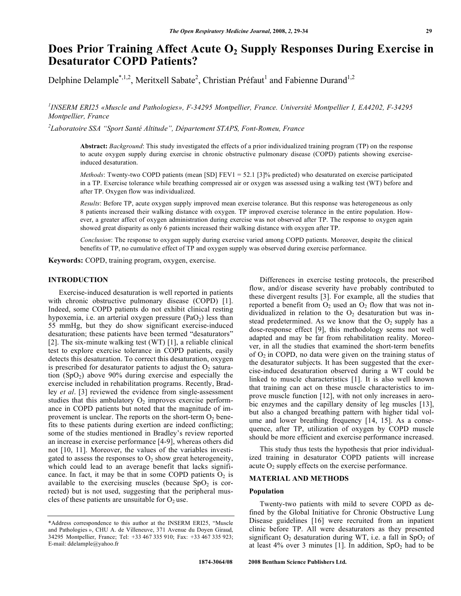# Does Prior Training Affect Acute O<sub>2</sub> Supply Responses During Exercise in **Desaturator COPD Patients?**

Delphine Delample<sup>\*,1,2</sup>, Meritxell Sabate<sup>2</sup>, Christian Préfaut<sup>1</sup> and Fabienne Durand<sup>1,2</sup>

*1 INSERM ERI25 «Muscle and Pathologies», F-34295 Montpellier, France. Université Montpellier I, EA4202, F-34295 Montpellier, France* 

*2 Laboratoire SSA "Sport Santé Altitude", Département STAPS, Font-Romeu, France* 

**Abstract:** *Background*: This study investigated the effects of a prior individualized training program (TP) on the response to acute oxygen supply during exercise in chronic obstructive pulmonary disease (COPD) patients showing exerciseinduced desaturation.

*Methods*: Twenty-two COPD patients (mean [SD] FEV1 = 52.1 [3]% predicted) who desaturated on exercise participated in a TP. Exercise tolerance while breathing compressed air or oxygen was assessed using a walking test (WT) before and after TP. Oxygen flow was individualized.

*Results*: Before TP, acute oxygen supply improved mean exercise tolerance. But this response was heterogeneous as only 8 patients increased their walking distance with oxygen. TP improved exercise tolerance in the entire population. However, a greater affect of oxygen administration during exercise was not observed after TP. The response to oxygen again showed great disparity as only 6 patients increased their walking distance with oxygen after TP.

*Conclusion*: The response to oxygen supply during exercise varied among COPD patients. Moreover, despite the clinical benefits of TP, no cumulative effect of TP and oxygen supply was observed during exercise performance.

**Keywords:** COPD, training program, oxygen, exercise.

# **INTRODUCTION**

 Exercise-induced desaturation is well reported in patients with chronic obstructive pulmonary disease (COPD) [1]. Indeed, some COPD patients do not exhibit clinical resting hypoxemia, i.e. an arterial oxygen pressure  $(PaO<sub>2</sub>)$  less than 55 mmHg, but they do show significant exercise-induced desaturation; these patients have been termed "desaturators" [2]. The six-minute walking test (WT) [1], a reliable clinical test to explore exercise tolerance in COPD patients, easily detects this desaturation. To correct this desaturation, oxygen is prescribed for desaturator patients to adjust the  $O<sub>2</sub>$  saturation  $(SpO<sub>2</sub>)$  above 90% during exercise and especially the exercise included in rehabilitation programs. Recently, Bradley *et al*. [3] reviewed the evidence from single-assessment studies that this ambulatory  $O_2$  improves exercise performance in COPD patients but noted that the magnitude of improvement is unclear. The reports on the short-term  $O_2$  benefits to these patients during exertion are indeed conflicting; some of the studies mentioned in Bradley's review reported an increase in exercise performance [4-9], whereas others did not [10, 11]. Moreover, the values of the variables investigated to assess the responses to  $O_2$  show great heterogeneity, which could lead to an average benefit that lacks significance. In fact, it may be that in some COPD patients  $O_2$  is available to the exercising muscles (because  $SpO<sub>2</sub>$  is corrected) but is not used, suggesting that the peripheral muscles of these patients are unsuitable for  $O_2$  use.

 Differences in exercise testing protocols, the prescribed flow, and/or disease severity have probably contributed to these divergent results [3]. For example, all the studies that reported a benefit from  $O_2$  used an  $O_2$  flow that was not individualized in relation to the  $O_2$  desaturation but was instead predetermined. As we know that the  $O_2$  supply has a dose-response effect [9], this methodology seems not well adapted and may be far from rehabilitation reality. Moreover, in all the studies that examined the short-term benefits of  $O<sub>2</sub>$  in COPD, no data were given on the training status of the desaturator subjects. It has been suggested that the exercise-induced desaturation observed during a WT could be linked to muscle characteristics [1]. It is also well known that training can act on these muscle characteristics to improve muscle function [12], with not only increases in aerobic enzymes and the capillary density of leg muscles [13], but also a changed breathing pattern with higher tidal volume and lower breathing frequency [14, 15]. As a consequence, after TP, utilization of oxygen by COPD muscle should be more efficient and exercise performance increased.

 This study thus tests the hypothesis that prior individualized training in desaturator COPD patients will increase acute  $O_2$  supply effects on the exercise performance.

### **MATERIAL AND METHODS**

# **Population**

 Twenty-two patients with mild to severe COPD as defined by the Global Initiative for Chronic Obstructive Lung Disease guidelines [16] were recruited from an inpatient clinic before TP. All were desaturators as they presented significant  $O_2$  desaturation during WT, i.e. a fall in SpO<sub>2</sub> of at least  $4\%$  over 3 minutes [1]. In addition,  $SpO<sub>2</sub>$  had to be

<sup>\*</sup>Address correspondence to this author at the INSERM ERI25, "Muscle and Pathologies », CHU A. de Villeneuve, 371 Avenue du Doyen Giraud, 34295 Montpellier, France; Tel: +33 467 335 910; Fax: +33 467 335 923; E-mail: ddelample@yahoo.fr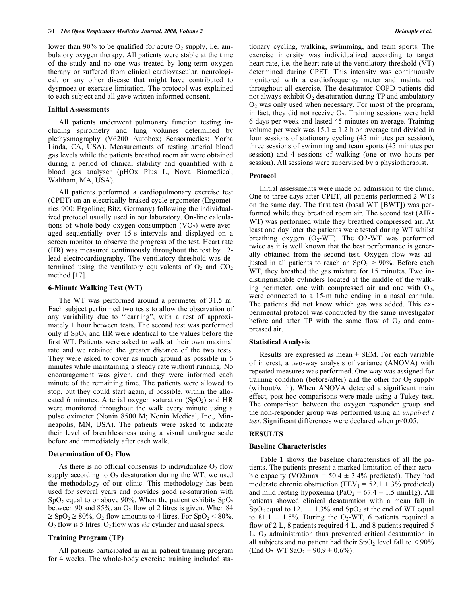lower than 90% to be qualified for acute  $O_2$  supply, i.e. ambulatory oxygen therapy. All patients were stable at the time of the study and no one was treated by long-term oxygen therapy or suffered from clinical cardiovascular, neurological, or any other disease that might have contributed to dyspnoea or exercise limitation. The protocol was explained to each subject and all gave written informed consent.

#### **Initial Assessments**

 All patients underwent pulmonary function testing including spirometry and lung volumes determined by plethysmography (V6200 Autobox; Sensormedics; Yorba Linda, CA, USA). Measurements of resting arterial blood gas levels while the patients breathed room air were obtained during a period of clinical stability and quantified with a blood gas analyser (pHOx Plus L, Nova Biomedical, Waltham, MA, USA).

 All patients performed a cardiopulmonary exercise test (CPET) on an electrically-braked cycle ergometer (Ergometrics 900; Ergoline; Bitz, Germany) following the individualized protocol usually used in our laboratory. On-line calculations of whole-body oxygen consumption  $(VO<sub>2</sub>)$  were averaged sequentially over 15-s intervals and displayed on a screen monitor to observe the progress of the test. Heart rate (HR) was measured continuously throughout the test by 12 lead electrocardiography. The ventilatory threshold was determined using the ventilatory equivalents of  $O_2$  and  $CO_2$ method [17].

### **6-Minute Walking Test (WT)**

 The WT was performed around a perimeter of 31.5 m. Each subject performed two tests to allow the observation of any variability due to "learning", with a rest of approximately 1 hour between tests. The second test was performed only if  $SpO<sub>2</sub>$  and HR were identical to the values before the first WT. Patients were asked to walk at their own maximal rate and we retained the greater distance of the two tests. They were asked to cover as much ground as possible in 6 minutes while maintaining a steady rate without running. No encouragement was given, and they were informed each minute of the remaining time. The patients were allowed to stop, but they could start again, if possible, within the allocated 6 minutes. Arterial oxygen saturation  $(SpO<sub>2</sub>)$  and HR were monitored throughout the walk every minute using a pulse oximeter (Nonin 8500 M; Nonin Medical, Inc., Minneapolis, MN, USA). The patients were asked to indicate their level of breathlessness using a visual analogue scale before and immediately after each walk.

### **Determination of O2 Flow**

As there is no official consensus to individualize  $O_2$  flow supply according to  $O_2$  desaturation during the WT, we used the methodology of our clinic. This methodology has been used for several years and provides good re-saturation with  $SpO<sub>2</sub>$  equal to or above 90%. When the patient exhibits  $SpO<sub>2</sub>$ between 90 and 85%, an  $O_2$  flow of 2 litres is given. When 84  $\geq$  SpO<sub>2</sub>  $\geq$  80%, O<sub>2</sub> flow amounts to 4 litres. For SpO<sub>2</sub> < 80%,  $O_2$  flow is 5 litres.  $O_2$  flow was *via* cylinder and nasal specs.

# **Training Program (TP)**

 All patients participated in an in-patient training program for 4 weeks. The whole-body exercise training included stationary cycling, walking, swimming, and team sports. The exercise intensity was individualized according to target heart rate, i.e. the heart rate at the ventilatory threshold (VT) determined during CPET. This intensity was continuously monitored with a cardiofrequency meter and maintained throughout all exercise. The desaturator COPD patients did not always exhibit  $O_2$  desaturation during TP and ambulatory  $O<sub>2</sub>$  was only used when necessary. For most of the program, in fact, they did not receive  $O_2$ . Training sessions were held 6 days per week and lasted 45 minutes on average. Training volume per week was  $15.1 \pm 1.2$  h on average and divided in four sessions of stationary cycling (45 minutes per session), three sessions of swimming and team sports (45 minutes per session) and 4 sessions of walking (one or two hours per session). All sessions were supervised by a physiotherapist.

### **Protocol**

 Initial assessments were made on admission to the clinic. One to three days after CPET, all patients performed 2 WTs on the same day. The first test (basal WT [BWT]) was performed while they breathed room air. The second test (AIR-WT) was performed while they breathed compressed air. At least one day later the patients were tested during WT whilst breathing oxygen  $(O_2-WT)$ . The O2-WT was performed twice as it is well known that the best performance is generally obtained from the second test. Oxygen flow was adjusted in all patients to reach an  $SpO<sub>2</sub> > 90%$ . Before each WT, they breathed the gas mixture for 15 minutes. Two indistinguishable cylinders located at the middle of the walking perimeter, one with compressed air and one with  $O_2$ , were connected to a 15-m tube ending in a nasal cannula. The patients did not know which gas was added. This experimental protocol was conducted by the same investigator before and after TP with the same flow of  $O_2$  and compressed air.

### **Statistical Analysis**

Results are expressed as mean  $\pm$  SEM. For each variable of interest, a two-way analysis of variance (ANOVA) with repeated measures was performed. One way was assigned for training condition (before/after) and the other for  $O_2$  supply (without/with). When ANOVA detected a significant main effect, post-hoc comparisons were made using a Tukey test. The comparison between the oxygen responder group and the non-responder group was performed using an *unpaired t test*. Significant differences were declared when p<0.05.

# **RESULTS**

# **Baseline Characteristics**

 Table **1** shows the baseline characteristics of all the patients. The patients present a marked limitation of their aerobic capacity (VO2max =  $50.4 \pm 3.4\%$  predicted). They had moderate chronic obstruction (FEV<sub>1</sub> = 52.1  $\pm$  3% predicted) and mild resting hypoxemia (PaO<sub>2</sub> =  $67.4 \pm 1.5$  mmHg). All patients showed clinical desaturation with a mean fall in SpO<sub>2</sub> equal to 12.1  $\pm$  1.3% and SpO<sub>2</sub> at the end of WT equal to 81.1  $\pm$  1.5%. During the O<sub>2</sub>-WT, 6 patients required a flow of 2 L, 8 patients required 4 L, and 8 patients required 5 L.  $O_2$  administration thus prevented critical desaturation in all subjects and no patient had their  $SpO<sub>2</sub>$  level fall to < 90%  $(End O<sub>2</sub>-WT SaO<sub>2</sub> = 90.9 \pm 0.6\%).$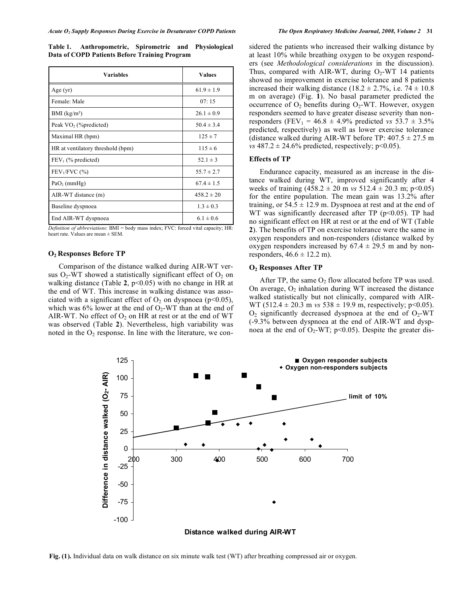**Table 1. Anthropometric, Spirometric and Physiological Data of COPD Patients Before Training Program** 

| <b>Variables</b>                  | <b>Values</b>  |  |
|-----------------------------------|----------------|--|
| Age $(yr)$                        | $61.9 \pm 1.9$ |  |
| Female: Male                      | 07:15          |  |
| BMI (kg/m <sup>2</sup> )          | $26.1 \pm 0.9$ |  |
| Peak VO <sub>2</sub> (%predicted) | $50.4 \pm 3.4$ |  |
| Maximal HR (bpm)                  | $125 \pm 7$    |  |
| HR at ventilatory threshold (bpm) | $115 \pm 6$    |  |
| $FEV1$ (% predicted)              | $52.1 \pm 3$   |  |
| $FEV1/FVC$ (%)                    | $55.7 \pm 2.7$ |  |
| $PaO2$ (mmHg)                     | $67.4 \pm 1.5$ |  |
| AIR-WT distance (m)               | $458.2 \pm 20$ |  |
| Baseline dyspnoea                 | $1.3 \pm 0.3$  |  |
| End AIR-WT dyspnoea               | $6.1 \pm 0.6$  |  |

*Definition of abbreviations*: BMI = body mass index; FVC: forced vital capacity; HR: heart rate. Values are mean ± SEM.

### **O2 Responses Before TP**

 Comparison of the distance walked during AIR-WT versus  $O_2$ -WT showed a statistically significant effect of  $O_2$  on walking distance (Table **2**, p<0.05) with no change in HR at the end of WT. This increase in walking distance was associated with a significant effect of  $O_2$  on dyspnoea (p<0.05), which was  $6\%$  lower at the end of  $O_2$ -WT than at the end of AIR-WT. No effect of  $O_2$  on HR at rest or at the end of WT was observed (Table **2**). Nevertheless, high variability was noted in the  $O<sub>2</sub>$  response. In line with the literature, we considered the patients who increased their walking distance by at least 10% while breathing oxygen to be oxygen responders (see *Methodological considerations* in the discussion). Thus, compared with AIR-WT, during  $O_2$ -WT 14 patients showed no improvement in exercise tolerance and 8 patients increased their walking distance (18.2  $\pm$  2.7%, i.e. 74  $\pm$  10.8 m on average) (Fig. **1**). No basal parameter predicted the occurrence of  $O_2$  benefits during  $O_2$ -WT. However, oxygen responders seemed to have greater disease severity than nonresponders (FEV<sub>1</sub> = 46.8  $\pm$  4.9% predicted *vs* 53.7  $\pm$  3.5% predicted, respectively) as well as lower exercise tolerance (distance walked during AIR-WT before TP:  $407.5 \pm 27.5$  m *vs*  $487.2 \pm 24.6\%$  predicted, respectively; p<0.05).

## **Effects of TP**

 Endurance capacity, measured as an increase in the distance walked during WT, improved significantly after 4 weeks of training  $(458.2 \pm 20 \text{ m} \text{ vs } 512.4 \pm 20.3 \text{ m}; \text{ p} < 0.05)$ for the entire population. The mean gain was 13.2% after training, or  $54.5 \pm 12.9$  m. Dyspnoea at rest and at the end of WT was significantly decreased after TP  $(p<0.05)$ . TP had no significant effect on HR at rest or at the end of WT (Table **2**). The benefits of TP on exercise tolerance were the same in oxygen responders and non-responders (distance walked by oxygen responders increased by  $67.4 \pm 29.5$  m and by nonresponders,  $46.6 \pm 12.2$  m).

### **O2 Responses After TP**

After TP, the same  $O_2$  flow allocated before TP was used. On average,  $O_2$  inhalation during WT increased the distance walked statistically but not clinically, compared with AIR-WT (512.4  $\pm$  20.3 m *vs* 538  $\pm$  19.9 m, respectively; p<0.05).  $O_2$  significantly decreased dyspnoea at the end of  $O_2$ -WT (-9.3% between dyspnoea at the end of AIR-WT and dyspnoea at the end of  $O_2$ -WT; p<0.05). Despite the greater dis-



**Fig. (1).** Individual data on walk distance on six minute walk test (WT) after breathing compressed air or oxygen.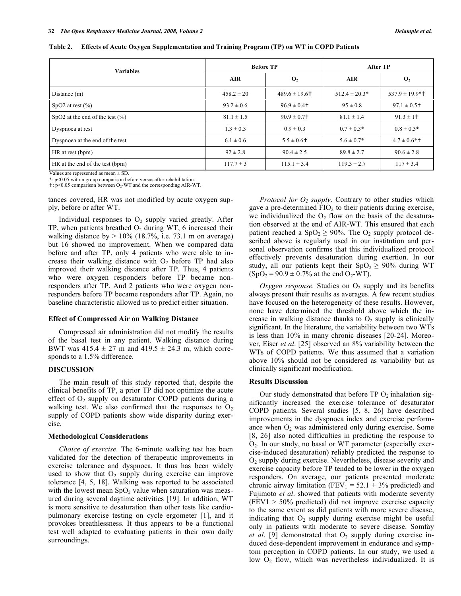| <b>Variables</b>                    | <b>Before TP</b> |                            | After TP          |                             |
|-------------------------------------|------------------|----------------------------|-------------------|-----------------------------|
|                                     | <b>AIR</b>       | $\mathbf{O}_2$             | <b>AIR</b>        | $\mathbf{O}_2$              |
| Distance (m)                        | $458.2 \pm 20$   | $489.6 \pm 19.6$           | $512.4 \pm 20.3*$ | $537.9 \pm 19.9$ * †        |
| SpO2 at rest $(\% )$                | $93.2 \pm 0.6$   | $96.9 \pm 0.4$             | $95 \pm 0.8$      | $97.1 \pm 0.5$ <sup>+</sup> |
| SpO2 at the end of the test $(\% )$ | $81.1 \pm 1.5$   | $90.9 \pm 0.7$             | $81.1 \pm 1.4$    | $91.3 \pm 1$ †              |
| Dyspnoea at rest                    | $1.3 \pm 0.3$    | $0.9 \pm 0.3$              | $0.7 \pm 0.3*$    | $0.8 \pm 0.3*$              |
| Dyspnoea at the end of the test     | $6.1 \pm 0.6$    | $5.5 \pm 0.6$ <sup>+</sup> | $5.6 \pm 0.7*$    | $4.7 \pm 0.6$ *†            |
| HR at rest (bpm)                    | $92 \pm 2.8$     | $90.4 \pm 2.5$             | $89.8 \pm 2.7$    | $90.6 \pm 2.8$              |
| HR at the end of the test (bpm)     | $117.7 \pm 3$    | $115.1 \pm 3.4$            | $119.3 \pm 2.7$   | $117 \pm 3.4$               |

**Table 2. Effects of Acute Oxygen Supplementation and Training Program (TP) on WT in COPD Patients** 

Values are represented as mean  $\pm$  SD.

\*: p<0.05 within group comparison before versus after rehabilitation.

 $\pm$ : p<0.05 comparison between O<sub>2</sub>-WT and the corresponding AIR-WT.

tances covered, HR was not modified by acute oxygen supply, before or after WT.

Individual responses to  $O_2$  supply varied greatly. After TP, when patients breathed  $O_2$  during WT, 6 increased their walking distance by  $> 10\%$  (18.7%, i.e. 73.1 m on average) but 16 showed no improvement. When we compared data before and after TP, only 4 patients who were able to increase their walking distance with  $O<sub>2</sub>$  before TP had also improved their walking distance after TP. Thus, 4 patients who were oxygen responders before TP became nonresponders after TP. And 2 patients who were oxygen nonresponders before TP became responders after TP. Again, no baseline characteristic allowed us to predict either situation.

### **Effect of Compressed Air on Walking Distance**

 Compressed air administration did not modify the results of the basal test in any patient. Walking distance during BWT was  $415.4 \pm 27$  m and  $419.5 \pm 24.3$  m, which corresponds to a 1.5% difference.

### **DISCUSSION**

 The main result of this study reported that, despite the clinical benefits of TP, a prior TP did not optimize the acute effect of  $O_2$  supply on desaturator COPD patients during a walking test. We also confirmed that the responses to  $O<sub>2</sub>$ supply of COPD patients show wide disparity during exercise.

### **Methodological Considerations**

 *Choice of exercise.* The 6-minute walking test has been validated for the detection of therapeutic improvements in exercise tolerance and dyspnoea. It thus has been widely used to show that  $O_2$  supply during exercise can improve tolerance [4, 5, 18]. Walking was reported to be associated with the lowest mean  $SpO<sub>2</sub>$  value when saturation was measured during several daytime activities [19]. In addition, WT is more sensitive to desaturation than other tests like cardiopulmonary exercise testing on cycle ergometer [1], and it provokes breathlessness. It thus appears to be a functional test well adapted to evaluating patients in their own daily surroundings.

*Protocol for*  $O_2$  *supply.* Contrary to other studies which gave a pre-determined  $FIO<sub>2</sub>$  to their patients during exercise, we individualized the  $O_2$  flow on the basis of the desaturation observed at the end of AIR-WT. This ensured that each patient reached a  $SpO<sub>2</sub> \ge 90\%$ . The  $O<sub>2</sub>$  supply protocol described above is regularly used in our institution and personal observation confirms that this individualized protocol effectively prevents desaturation during exertion. In our study, all our patients kept their  $SpO<sub>2</sub> \ge 90\%$  during WT  $(SpO<sub>2</sub> = 90.9 \pm 0.7\%$  at the end O<sub>2</sub>-WT).

 $Oxygen$  response. Studies on  $O_2$  supply and its benefits always present their results as averages. A few recent studies have focused on the heterogeneity of these results. However, none have determined the threshold above which the increase in walking distance thanks to  $O_2$  supply is clinically significant. In the literature, the variability between two WTs is less than 10% in many chronic diseases [20-24]. Moreover, Eiser *et al*. [25] observed an 8% variability between the WTs of COPD patients. We thus assumed that a variation above 10% should not be considered as variability but as clinically significant modification.

### **Results Discussion**

Our study demonstrated that before  $TPO<sub>2</sub>$  inhalation significantly increased the exercise tolerance of desaturator COPD patients. Several studies [5, 8, 26] have described improvements in the dyspnoea index and exercise performance when  $O_2$  was administered only during exercise. Some [8, 26] also noted difficulties in predicting the response to  $O<sub>2</sub>$ . In our study, no basal or WT parameter (especially exercise-induced desaturation) reliably predicted the response to  $O<sub>2</sub>$  supply during exercise. Nevertheless, disease severity and exercise capacity before TP tended to be lower in the oxygen responders. On average, our patients presented moderate chronic airway limitation (FEV<sub>1</sub> = 52.1  $\pm$  3% predicted) and Fujimoto *et al*. showed that patients with moderate severity  $(FEV1 > 50\%$  predicted) did not improve exercise capacity to the same extent as did patients with more severe disease, indicating that  $O_2$  supply during exercise might be useful only in patients with moderate to severe disease. Somfay *et al.* [9] demonstrated that  $O_2$  supply during exercise induced dose-dependent improvement in endurance and symptom perception in COPD patients. In our study, we used a low  $O_2$  flow, which was nevertheless individualized. It is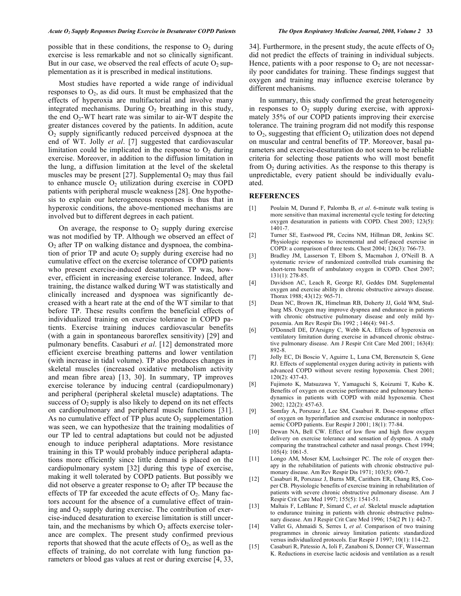possible that in these conditions, the response to  $O_2$  during exercise is less remarkable and not so clinically significant. But in our case, we observed the real effects of acute  $O_2$  supplementation as it is prescribed in medical institutions.

 Most studies have reported a wide range of individual responses to  $O_2$ , as did ours. It must be emphasized that the effects of hyperoxia are multifactorial and involve many integrated mechanisms. During  $O_2$  breathing in this study, the end  $O<sub>2</sub>$ -WT heart rate was similar to air-WT despite the greater distances covered by the patients. In addition, acute  $O<sub>2</sub>$  supply significantly reduced perceived dyspnoea at the end of WT. Jolly *et al*. [7] suggested that cardiovascular limitation could be implicated in the response to  $O<sub>2</sub>$  during exercise. Moreover, in addition to the diffusion limitation in the lung, a diffusion limitation at the level of the skeletal muscles may be present [27]. Supplemental  $O_2$  may thus fail to enhance muscle  $O_2$  utilization during exercise in COPD patients with peripheral muscle weakness [28]. One hypothesis to explain our heterogeneous responses is thus that in hyperoxic conditions, the above-mentioned mechanisms are involved but to different degrees in each patient.

On average, the response to  $O_2$  supply during exercise was not modified by TP. Although we observed an effect of  $O<sub>2</sub>$  after TP on walking distance and dyspnoea, the combination of prior TP and acute  $O_2$  supply during exercise had no cumulative effect on the exercise tolerance of COPD patients who present exercise-induced desaturation. TP was, however, efficient in increasing exercise tolerance. Indeed, after training, the distance walked during WT was statistically and clinically increased and dyspnoea was significantly decreased with a heart rate at the end of the WT similar to that before TP. These results confirm the beneficial effects of individualized training on exercise tolerance in COPD patients. Exercise training induces cardiovascular benefits (with a gain in spontaneous baroreflex sensitivity) [29] and pulmonary benefits. Casaburi *et al*. [12] demonstrated more efficient exercise breathing patterns and lower ventilation (with increase in tidal volume). TP also produces changes in skeletal muscles (increased oxidative metabolism activity and mean fibre area) [13, 30]. In summary, TP improves exercise tolerance by inducing central (cardiopulmonary) and peripheral (peripheral skeletal muscle) adaptations. The success of  $O_2$  supply is also likely to depend on its net effects on cardiopulmonary and peripheral muscle functions [31]. As no cumulative effect of TP plus acute  $O_2$  supplementation was seen, we can hypothesize that the training modalities of our TP led to central adaptations but could not be adjusted enough to induce peripheral adaptations. More resistance training in this TP would probably induce peripheral adaptations more efficiently since little demand is placed on the cardiopulmonary system [32] during this type of exercise, making it well tolerated by COPD patients. But possibly we did not observe a greater response to  $O_2$  after TP because the effects of TP far exceeded the acute effects of  $O_2$ . Many factors account for the absence of a cumulative effect of training and  $O_2$  supply during exercise. The contribution of exercise-induced desaturation to exercise limitation is still uncertain, and the mechanisms by which  $O_2$  affects exercise tolerance are complex. The present study confirmed previous reports that showed that the acute effects of  $O_2$ , as well as the effects of training, do not correlate with lung function parameters or blood gas values at rest or during exercise [4, 33,

34]. Furthermore, in the present study, the acute effects of  $O<sub>2</sub>$ did not predict the effects of training in individual subjects. Hence, patients with a poor response to  $O_2$  are not necessarily poor candidates for training. These findings suggest that oxygen and training may influence exercise tolerance by different mechanisms.

 In summary, this study confirmed the great heterogeneity in responses to  $O_2$  supply during exercise, with approximately 35% of our COPD patients improving their exercise tolerance. The training program did not modify this response to  $O_2$ , suggesting that efficient  $O_2$  utilization does not depend on muscular and central benefits of TP. Moreover, basal parameters and exercise-desaturation do not seem to be reliable criteria for selecting those patients who will most benefit from  $O<sub>2</sub>$  during activities. As the response to this therapy is unpredictable, every patient should be individually evaluated.

#### **REFERENCES**

- [1] Poulain M, Durand F, Palomba B, *et al*. 6-minute walk testing is more sensitive than maximal incremental cycle testing for detecting oxygen desaturation in patients with COPD. Chest 2003; 123(5): 1401-7.
- [2] Turner SE, Eastwood PR, Cecins NM, Hillman DR, Jenkins SC. Physiologic responses to incremental and self-paced exercise in COPD: a comparison of three tests. Chest 2004; 126(3): 766-73.
- [3] Bradley JM, Lasserson T, Elborn S, Macmahon J, O'Neill B. A systematic review of randomized controlled trials examining the short-term benefit of ambulatory oxygen in COPD. Chest 2007; 131(1): 278-85.
- [4] Davidson AC, Leach R, George RJ, Geddes DM. Supplemental oxygen and exercise ability in chronic obstructive airways disease. Thorax 1988; 43(12): 965-71.
- [5] Dean NC, Brown JK, Himelman RB, Doherty JJ, Gold WM, Stulbarg MS. Oxygen may improve dyspnea and endurance in patients with chronic obstructive pulmonary disease and only mild hypoxemia. Am Rev Respir Dis 1992 ; 146(4): 941-5.
- [6] O'Donnell DE, D'Arsigny C, Webb KA. Effects of hyperoxia on ventilatory limitation during exercise in advanced chronic obstructive pulmonary disease. Am J Respir Crit Care Med 2001; 163(4): 892-8.
- [7] Jolly EC, Di Boscio V, Aguirre L, Luna CM, Berensztein S, Gene RJ. Effects of supplemental oxygen during activity in patients with advanced COPD without severe resting hypoxemia. Chest 2001; 120(2): 437-43.
- [8] Fujimoto K, Matsuzawa Y, Yamaguchi S, Koizumi T, Kubo K. Benefits of oxygen on exercise performance and pulmonary hemodynamics in patients with COPD with mild hypoxemia. Chest 2002; 122(2): 457-63.
- [9] Somfay A, Porszasz J, Lee SM, Casaburi R. Dose-response effect of oxygen on hyperinflation and exercise endurance in nonhypoxaemic COPD patients. Eur Respir J 2001; 18(1): 77-84.
- [10] Dewan NA, Bell CW. Effect of low flow and high flow oxygen delivery on exercise tolerance and sensation of dyspnea. A study comparing the transtracheal catheter and nasal prongs. Chest 1994; 105(4): 1061-5.
- [11] Longo AM, Moser KM, Luchsinger PC. The role of oxygen therapy in the rehabilitation of patients with chronic obstructive pulmonary disease. Am Rev Respir Dis 1971; 103(5): 690-7.
- [12] Casaburi R, Porszasz J, Burns MR, Carithers ER, Chang RS, Cooper CB. Physiologic benefits of exercise training in rehabilitation of patients with severe chronic obstructive pulmonary disease. Am J Respir Crit Care Med 1997; 155(5): 1541-51.
- [13] Maltais F, LeBlanc P, Simard C, *et al*. Skeletal muscle adaptation to endurance training in patients with chronic obstructive pulmonary disease. Am J Respir Crit Care Med 1996; 154(2 Pt 1): 442-7.
- [14] Vallet G, Ahmaidi S, Serres I, *et al*. Comparison of two training programmes in chronic airway limitation patients: standardized versus individualized protocols. Eur Respir J 1997; 10(1): 114-22.
- [15] Casaburi R, Patessio A, Ioli F, Zanaboni S, Donner CF, Wasserman K. Reductions in exercise lactic acidosis and ventilation as a result